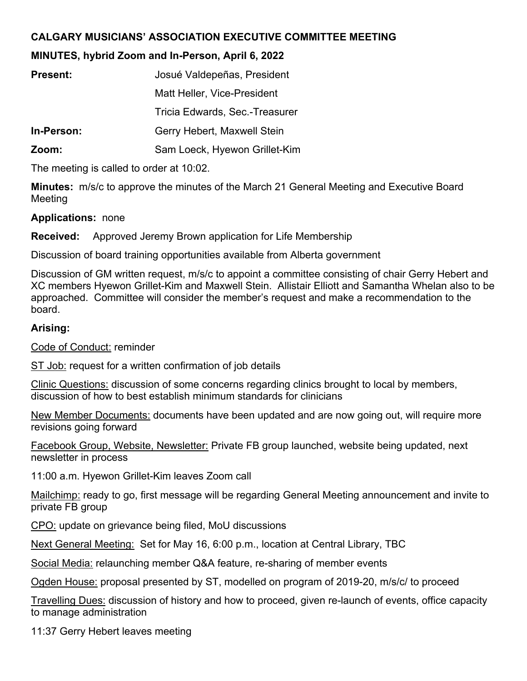## **CALGARY MUSICIANS' ASSOCIATION EXECUTIVE COMMITTEE MEETING**

## **MINUTES, hybrid Zoom and In-Person, April 6, 2022**

| <b>Present:</b> | Josué Valdepeñas, President    |
|-----------------|--------------------------------|
|                 | Matt Heller, Vice-President    |
|                 | Tricia Edwards, Sec.-Treasurer |
| In-Person:      | Gerry Hebert, Maxwell Stein    |
| Zoom:           | Sam Loeck, Hyewon Grillet-Kim  |
|                 |                                |

The meeting is called to order at 10:02.

**Minutes:** m/s/c to approve the minutes of the March 21 General Meeting and Executive Board Meeting

## **Applications:** none

**Received:** Approved Jeremy Brown application for Life Membership

Discussion of board training opportunities available from Alberta government

Discussion of GM written request, m/s/c to appoint a committee consisting of chair Gerry Hebert and XC members Hyewon Grillet-Kim and Maxwell Stein. Allistair Elliott and Samantha Whelan also to be approached. Committee will consider the member's request and make a recommendation to the board.

## **Arising:**

Code of Conduct: reminder

ST Job: request for a written confirmation of job details

Clinic Questions: discussion of some concerns regarding clinics brought to local by members, discussion of how to best establish minimum standards for clinicians

New Member Documents: documents have been updated and are now going out, will require more revisions going forward

Facebook Group, Website, Newsletter: Private FB group launched, website being updated, next newsletter in process

11:00 a.m. Hyewon Grillet-Kim leaves Zoom call

Mailchimp: ready to go, first message will be regarding General Meeting announcement and invite to private FB group

CPO: update on grievance being filed, MoU discussions

Next General Meeting: Set for May 16, 6:00 p.m., location at Central Library, TBC

Social Media: relaunching member Q&A feature, re-sharing of member events

Ogden House: proposal presented by ST, modelled on program of 2019-20, m/s/c/ to proceed

Travelling Dues: discussion of history and how to proceed, given re-launch of events, office capacity to manage administration

11:37 Gerry Hebert leaves meeting